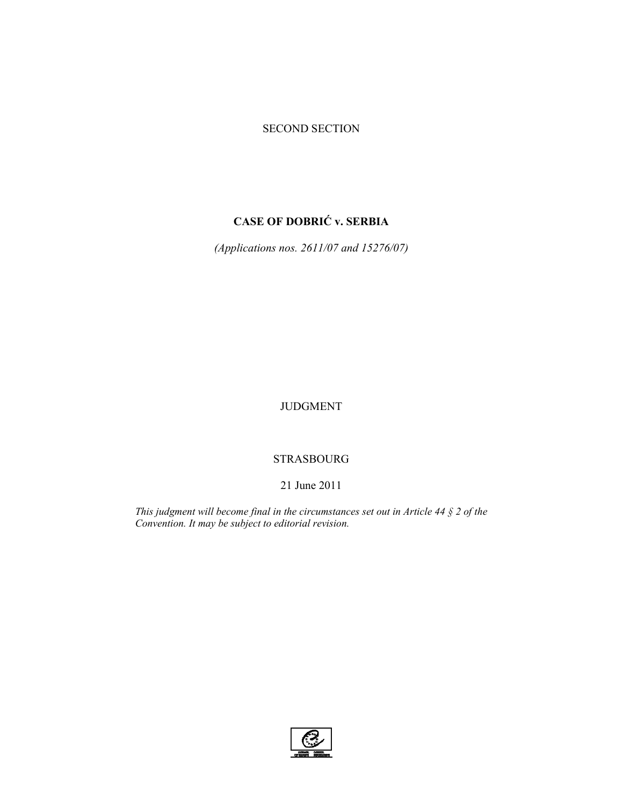# SECOND SECTION

# **CASE OF DOBRIĆ v. SERBIA**

*(Applications nos. 2611/07 and 15276/07)* 

JUDGMENT

# STRASBOURG

# 21 June 2011

*This judgment will become final in the circumstances set out in Article 44 § 2 of the Convention. It may be subject to editorial revision.*

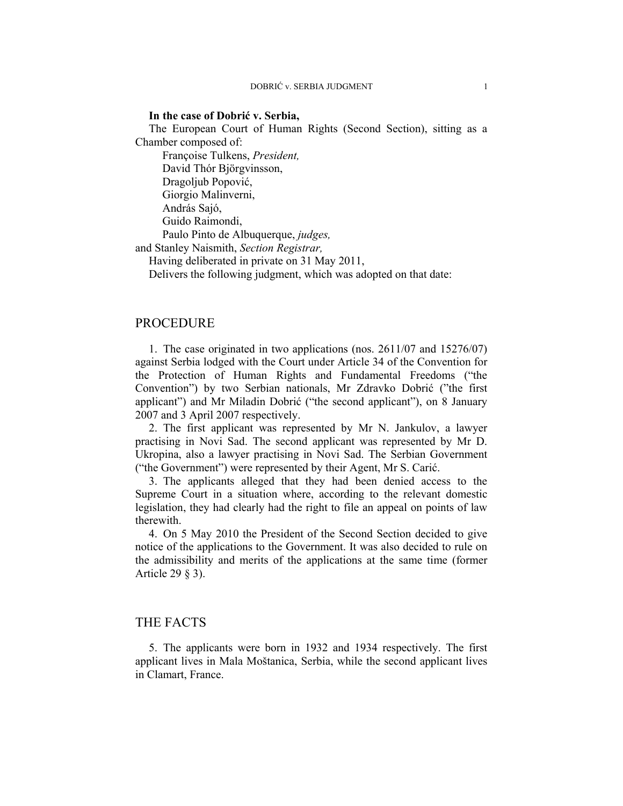#### **In the case of Dobrić v. Serbia,**

The European Court of Human Rights (Second Section), sitting as a Chamber composed of:

 Françoise Tulkens, *President,*  David Thór Björgvinsson, Dragoljub Popović, Giorgio Malinverni, András Sajó, Guido Raimondi,

Paulo Pinto de Albuquerque, *judges,*

and Stanley Naismith, *Section Registrar,*

Having deliberated in private on 31 May 2011,

Delivers the following judgment, which was adopted on that date:

### PROCEDURE

1. The case originated in two applications (nos. 2611/07 and 15276/07) against Serbia lodged with the Court under Article 34 of the Convention for the Protection of Human Rights and Fundamental Freedoms ("the Convention") by two Serbian nationals, Mr Zdravko Dobrić ("the first applicant") and Mr Miladin Dobrić ("the second applicant"), on 8 January 2007 and 3 April 2007 respectively.

2. The first applicant was represented by Mr N. Jankulov, a lawyer practising in Novi Sad. The second applicant was represented by Mr D. Ukropina, also a lawyer practising in Novi Sad. The Serbian Government ("the Government") were represented by their Agent, Mr S. Carić.

3. The applicants alleged that they had been denied access to the Supreme Court in a situation where, according to the relevant domestic legislation, they had clearly had the right to file an appeal on points of law therewith.

4. On 5 May 2010 the President of the Second Section decided to give notice of the applications to the Government. It was also decided to rule on the admissibility and merits of the applications at the same time (former Article 29 § 3).

# THE FACTS

5. The applicants were born in 1932 and 1934 respectively. The first applicant lives in Mala Moštanica, Serbia, while the second applicant lives in Clamart, France.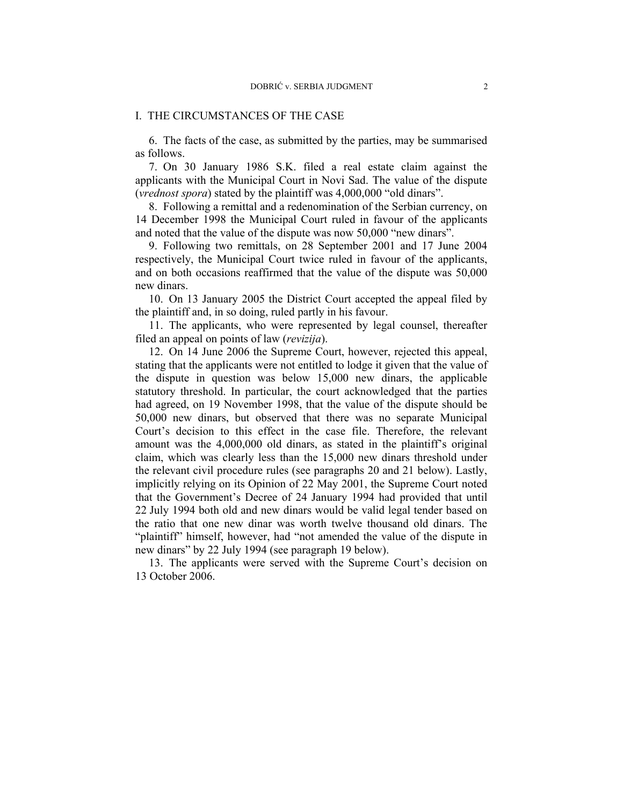#### I. THE CIRCUMSTANCES OF THE CASE

6. The facts of the case, as submitted by the parties, may be summarised as follows.

7. On 30 January 1986 S.K. filed a real estate claim against the applicants with the Municipal Court in Novi Sad. The value of the dispute (*vrednost spora*) stated by the plaintiff was 4,000,000 "old dinars".

8. Following a remittal and a redenomination of the Serbian currency, on 14 December 1998 the Municipal Court ruled in favour of the applicants and noted that the value of the dispute was now 50,000 "new dinars".

9. Following two remittals, on 28 September 2001 and 17 June 2004 respectively, the Municipal Court twice ruled in favour of the applicants, and on both occasions reaffirmed that the value of the dispute was 50,000 new dinars.

10. On 13 January 2005 the District Court accepted the appeal filed by the plaintiff and, in so doing, ruled partly in his favour.

11. The applicants, who were represented by legal counsel, thereafter filed an appeal on points of law (*revizija*).

12. On 14 June 2006 the Supreme Court, however, rejected this appeal, stating that the applicants were not entitled to lodge it given that the value of the dispute in question was below 15,000 new dinars, the applicable statutory threshold. In particular, the court acknowledged that the parties had agreed, on 19 November 1998, that the value of the dispute should be 50,000 new dinars, but observed that there was no separate Municipal Court's decision to this effect in the case file. Therefore, the relevant amount was the 4,000,000 old dinars, as stated in the plaintiff's original claim, which was clearly less than the 15,000 new dinars threshold under the relevant civil procedure rules (see paragraphs 20 and 21 below). Lastly, implicitly relying on its Opinion of 22 May 2001, the Supreme Court noted that the Government's Decree of 24 January 1994 had provided that until 22 July 1994 both old and new dinars would be valid legal tender based on the ratio that one new dinar was worth twelve thousand old dinars. The "plaintiff" himself, however, had "not amended the value of the dispute in new dinars" by 22 July 1994 (see paragraph 19 below).

13. The applicants were served with the Supreme Court's decision on 13 October 2006.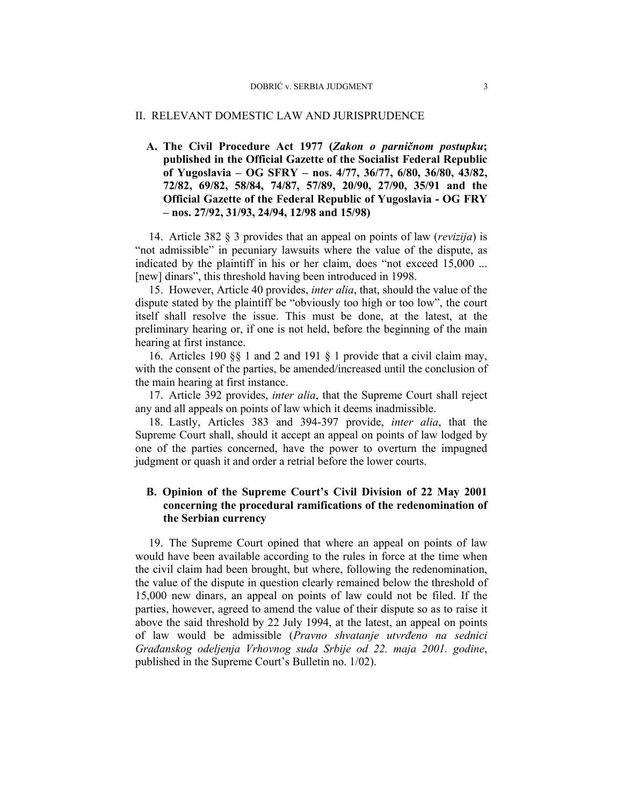#### II. RELEVANT DOMESTIC LAW AND JURISPRUDENCE

# **A. The Civil Procedure Act 1977 (***Zakon o parničnom postupku***; published in the Official Gazette of the Socialist Federal Republic of Yugoslavia – OG SFRY – nos. 4/77, 36/77, 6/80, 36/80, 43/82, 72/82, 69/82, 58/84, 74/87, 57/89, 20/90, 27/90, 35/91 and the Official Gazette of the Federal Republic of Yugoslavia - OG FRY – nos. 27/92, 31/93, 24/94, 12/98 and 15/98)**

14. Article 382 § 3 provides that an appeal on points of law (*revizija*) is "not admissible" in pecuniary lawsuits where the value of the dispute, as indicated by the plaintiff in his or her claim, does "not exceed 15,000 ... [new] dinars", this threshold having been introduced in 1998.

15. However, Article 40 provides, *inter alia*, that, should the value of the dispute stated by the plaintiff be "obviously too high or too low", the court itself shall resolve the issue. This must be done, at the latest, at the preliminary hearing or, if one is not held, before the beginning of the main hearing at first instance.

16. Articles 190 §§ 1 and 2 and 191 § 1 provide that a civil claim may, with the consent of the parties, be amended/increased until the conclusion of the main hearing at first instance.

17. Article 392 provides, *inter alia*, that the Supreme Court shall reject any and all appeals on points of law which it deems inadmissible.

18. Lastly, Articles 383 and 394-397 provide, *inter alia*, that the Supreme Court shall, should it accept an appeal on points of law lodged by one of the parties concerned, have the power to overturn the impugned judgment or quash it and order a retrial before the lower courts.

## **B. Opinion of the Supreme Court's Civil Division of 22 May 2001 concerning the procedural ramifications of the redenomination of the Serbian currency**

19. The Supreme Court opined that where an appeal on points of law would have been available according to the rules in force at the time when the civil claim had been brought, but where, following the redenomination, the value of the dispute in question clearly remained below the threshold of 15,000 new dinars, an appeal on points of law could not be filed. If the parties, however, agreed to amend the value of their dispute so as to raise it above the said threshold by 22 July 1994, at the latest, an appeal on points of law would be admissible (*Pravno shvatanje utvrđeno na sednici Građanskog odeljenja Vrhovnog suda Srbije od 22. maja 2001. godine*, published in the Supreme Court's Bulletin no. 1/02).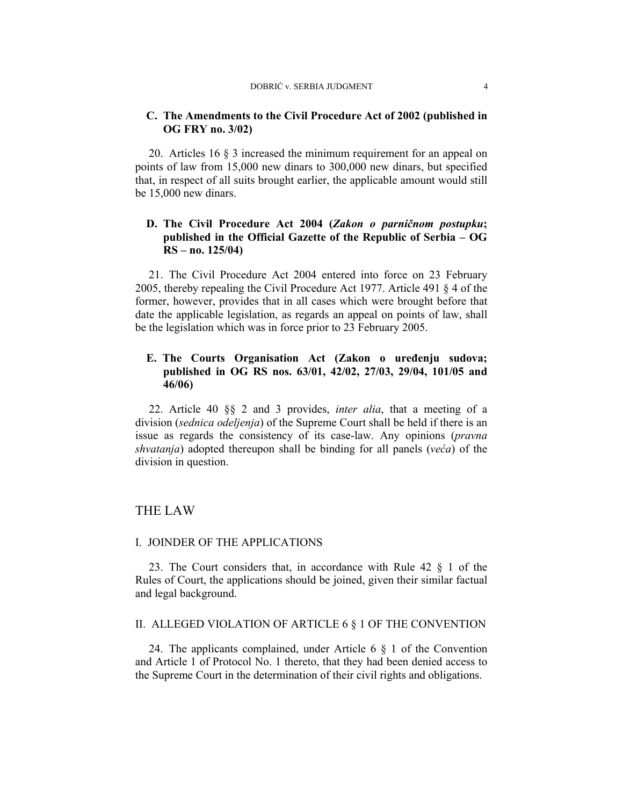### **C. The Amendments to the Civil Procedure Act of 2002 (published in OG FRY no. 3/02)**

20. Articles 16 § 3 increased the minimum requirement for an appeal on points of law from 15,000 new dinars to 300,000 new dinars, but specified that, in respect of all suits brought earlier, the applicable amount would still be 15,000 new dinars.

# **D. The Civil Procedure Act 2004 (***Zakon o parničnom postupku***; published in the Official Gazette of the Republic of Serbia – OG RS – no. 125/04)**

21. The Civil Procedure Act 2004 entered into force on 23 February 2005, thereby repealing the Civil Procedure Act 1977. Article 491 § 4 of the former, however, provides that in all cases which were brought before that date the applicable legislation, as regards an appeal on points of law, shall be the legislation which was in force prior to 23 February 2005.

# **E. The Courts Organisation Act (Zakon o uređenju sudova; published in OG RS nos. 63/01, 42/02, 27/03, 29/04, 101/05 and 46/06)**

22. Article 40 §§ 2 and 3 provides, *inter alia*, that a meeting of a division (*sednica odeljenja*) of the Supreme Court shall be held if there is an issue as regards the consistency of its case-law. Any opinions (*pravna shvatanja*) adopted thereupon shall be binding for all panels (*veća*) of the division in question.

# THE LAW

### I. JOINDER OF THE APPLICATIONS

23. The Court considers that, in accordance with Rule 42 § 1 of the Rules of Court, the applications should be joined, given their similar factual and legal background.

### II. ALLEGED VIOLATION OF ARTICLE 6 § 1 OF THE CONVENTION

24. The applicants complained, under Article 6 § 1 of the Convention and Article 1 of Protocol No. 1 thereto, that they had been denied access to the Supreme Court in the determination of their civil rights and obligations.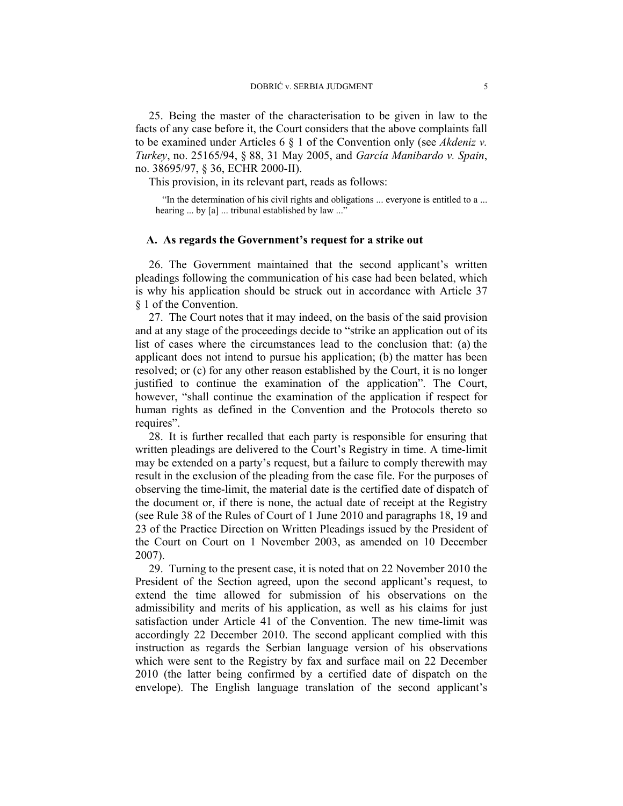25. Being the master of the characterisation to be given in law to the facts of any case before it, the Court considers that the above complaints fall to be examined under Articles 6 § 1 of the Convention only (see *Akdeniz v. Turkey*, no. 25165/94, § 88, 31 May 2005, and *García Manibardo v. Spain*, no. 38695/97, § 36, ECHR 2000-II).

This provision, in its relevant part, reads as follows:

"In the determination of his civil rights and obligations ... everyone is entitled to a ... hearing ... by [a] ... tribunal established by law ..."

#### **A. As regards the Government's request for a strike out**

26. The Government maintained that the second applicant's written pleadings following the communication of his case had been belated, which is why his application should be struck out in accordance with Article 37 § 1 of the Convention.

27. The Court notes that it may indeed, on the basis of the said provision and at any stage of the proceedings decide to "strike an application out of its list of cases where the circumstances lead to the conclusion that: (a) the applicant does not intend to pursue his application; (b) the matter has been resolved; or (c) for any other reason established by the Court, it is no longer justified to continue the examination of the application". The Court, however, "shall continue the examination of the application if respect for human rights as defined in the Convention and the Protocols thereto so requires".

28. It is further recalled that each party is responsible for ensuring that written pleadings are delivered to the Court's Registry in time. A time-limit may be extended on a party's request, but a failure to comply therewith may result in the exclusion of the pleading from the case file. For the purposes of observing the time-limit, the material date is the certified date of dispatch of the document or, if there is none, the actual date of receipt at the Registry (see Rule 38 of the Rules of Court of 1 June 2010 and paragraphs 18, 19 and 23 of the Practice Direction on Written Pleadings issued by the President of the Court on Court on 1 November 2003, as amended on 10 December 2007).

29. Turning to the present case, it is noted that on 22 November 2010 the President of the Section agreed, upon the second applicant's request, to extend the time allowed for submission of his observations on the admissibility and merits of his application, as well as his claims for just satisfaction under Article 41 of the Convention. The new time-limit was accordingly 22 December 2010. The second applicant complied with this instruction as regards the Serbian language version of his observations which were sent to the Registry by fax and surface mail on 22 December 2010 (the latter being confirmed by a certified date of dispatch on the envelope). The English language translation of the second applicant's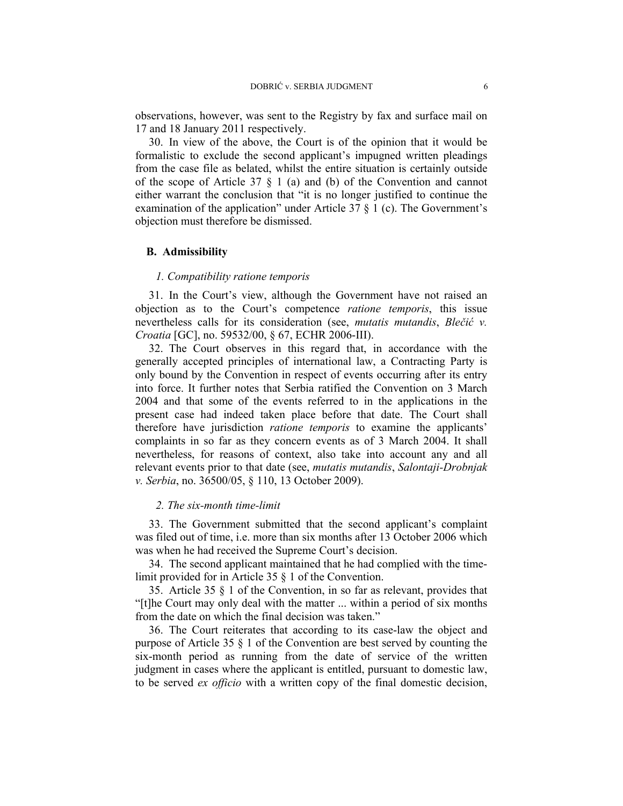observations, however, was sent to the Registry by fax and surface mail on 17 and 18 January 2011 respectively.

30. In view of the above, the Court is of the opinion that it would be formalistic to exclude the second applicant's impugned written pleadings from the case file as belated, whilst the entire situation is certainly outside of the scope of Article 37 § 1 (a) and (b) of the Convention and cannot either warrant the conclusion that "it is no longer justified to continue the examination of the application" under Article 37  $\S$  1 (c). The Government's objection must therefore be dismissed.

#### **B. Admissibility**

### *1. Compatibility ratione temporis*

31. In the Court's view, although the Government have not raised an objection as to the Court's competence *ratione temporis*, this issue nevertheless calls for its consideration (see, *mutatis mutandis*, *Blečić v. Croatia* [GC], no. 59532/00, § 67, ECHR 2006-III).

32. The Court observes in this regard that, in accordance with the generally accepted principles of international law, a Contracting Party is only bound by the Convention in respect of events occurring after its entry into force. It further notes that Serbia ratified the Convention on 3 March 2004 and that some of the events referred to in the applications in the present case had indeed taken place before that date. The Court shall therefore have jurisdiction *ratione temporis* to examine the applicants' complaints in so far as they concern events as of 3 March 2004. It shall nevertheless, for reasons of context, also take into account any and all relevant events prior to that date (see, *mutatis mutandis*, *Salontaji-Drobnjak v. Serbia*, no. 36500/05, § 110, 13 October 2009).

#### *2. The six-month time-limit*

33. The Government submitted that the second applicant's complaint was filed out of time, i.e. more than six months after 13 October 2006 which was when he had received the Supreme Court's decision.

34. The second applicant maintained that he had complied with the timelimit provided for in Article 35 § 1 of the Convention.

35. Article 35 § 1 of the Convention, in so far as relevant, provides that "[t]he Court may only deal with the matter ... within a period of six months from the date on which the final decision was taken."

36. The Court reiterates that according to its case-law the object and purpose of Article 35 § 1 of the Convention are best served by counting the six-month period as running from the date of service of the written judgment in cases where the applicant is entitled, pursuant to domestic law, to be served *ex officio* with a written copy of the final domestic decision,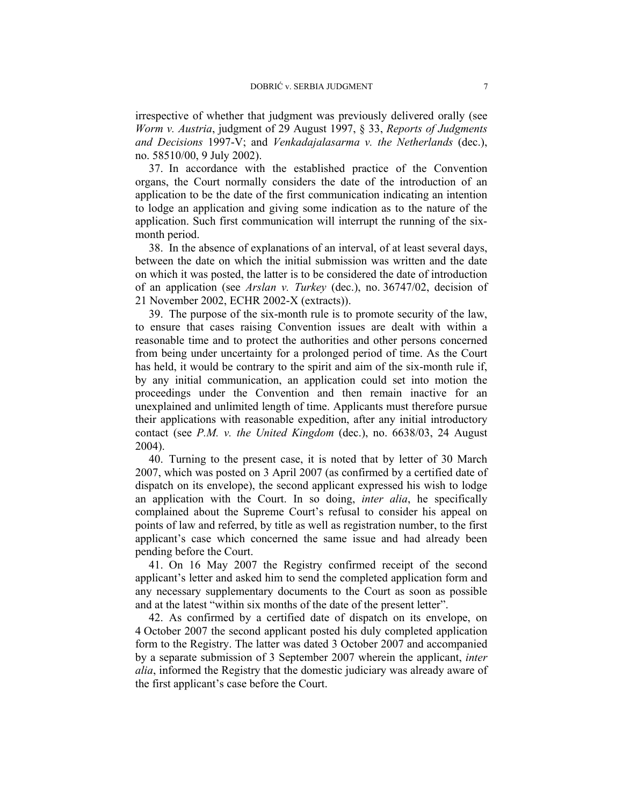irrespective of whether that judgment was previously delivered orally (see *Worm v. Austria*, judgment of 29 August 1997, § 33, *Reports of Judgments and Decisions* 1997-V; and *Venkadajalasarma v. the Netherlands* (dec.), no. 58510/00, 9 July 2002).

37. In accordance with the established practice of the Convention organs, the Court normally considers the date of the introduction of an application to be the date of the first communication indicating an intention to lodge an application and giving some indication as to the nature of the application. Such first communication will interrupt the running of the sixmonth period.

38. In the absence of explanations of an interval, of at least several days, between the date on which the initial submission was written and the date on which it was posted, the latter is to be considered the date of introduction of an application (see *Arslan v. Turkey* (dec.), no. 36747/02, decision of 21 November 2002, ECHR 2002-X (extracts)).

39. The purpose of the six-month rule is to promote security of the law, to ensure that cases raising Convention issues are dealt with within a reasonable time and to protect the authorities and other persons concerned from being under uncertainty for a prolonged period of time. As the Court has held, it would be contrary to the spirit and aim of the six-month rule if, by any initial communication, an application could set into motion the proceedings under the Convention and then remain inactive for an unexplained and unlimited length of time. Applicants must therefore pursue their applications with reasonable expedition, after any initial introductory contact (see *P.M. v. the United Kingdom* (dec.), no. 6638/03, 24 August 2004).

40. Turning to the present case, it is noted that by letter of 30 March 2007, which was posted on 3 April 2007 (as confirmed by a certified date of dispatch on its envelope), the second applicant expressed his wish to lodge an application with the Court. In so doing, *inter alia*, he specifically complained about the Supreme Court's refusal to consider his appeal on points of law and referred, by title as well as registration number, to the first applicant's case which concerned the same issue and had already been pending before the Court.

41. On 16 May 2007 the Registry confirmed receipt of the second applicant's letter and asked him to send the completed application form and any necessary supplementary documents to the Court as soon as possible and at the latest "within six months of the date of the present letter".

42. As confirmed by a certified date of dispatch on its envelope, on 4 October 2007 the second applicant posted his duly completed application form to the Registry. The latter was dated 3 October 2007 and accompanied by a separate submission of 3 September 2007 wherein the applicant, *inter alia*, informed the Registry that the domestic judiciary was already aware of the first applicant's case before the Court.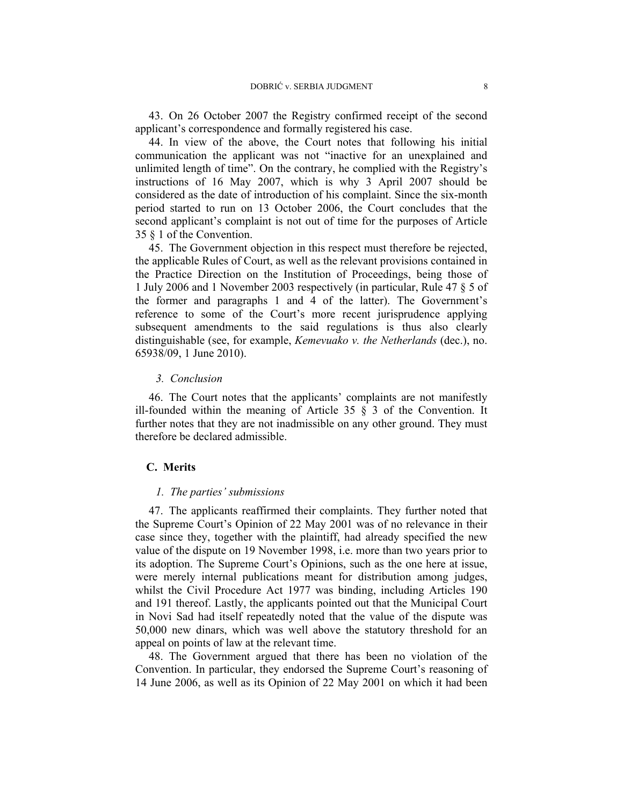43. On 26 October 2007 the Registry confirmed receipt of the second applicant's correspondence and formally registered his case.

44. In view of the above, the Court notes that following his initial communication the applicant was not "inactive for an unexplained and unlimited length of time". On the contrary, he complied with the Registry's instructions of 16 May 2007, which is why 3 April 2007 should be considered as the date of introduction of his complaint. Since the six-month period started to run on 13 October 2006, the Court concludes that the second applicant's complaint is not out of time for the purposes of Article 35 § 1 of the Convention.

45. The Government objection in this respect must therefore be rejected, the applicable Rules of Court, as well as the relevant provisions contained in the Practice Direction on the Institution of Proceedings, being those of 1 July 2006 and 1 November 2003 respectively (in particular, Rule 47 § 5 of the former and paragraphs 1 and 4 of the latter). The Government's reference to some of the Court's more recent jurisprudence applying subsequent amendments to the said regulations is thus also clearly distinguishable (see, for example, *Kemevuako v. the Netherlands* (dec.), no. 65938/09, 1 June 2010).

#### *3. Conclusion*

46. The Court notes that the applicants' complaints are not manifestly ill-founded within the meaning of Article 35  $\S$  3 of the Convention. It further notes that they are not inadmissible on any other ground. They must therefore be declared admissible.

## **C. Merits**

#### *1. The parties' submissions*

47. The applicants reaffirmed their complaints. They further noted that the Supreme Court's Opinion of 22 May 2001 was of no relevance in their case since they, together with the plaintiff, had already specified the new value of the dispute on 19 November 1998, i.e. more than two years prior to its adoption. The Supreme Court's Opinions, such as the one here at issue, were merely internal publications meant for distribution among judges, whilst the Civil Procedure Act 1977 was binding, including Articles 190 and 191 thereof. Lastly, the applicants pointed out that the Municipal Court in Novi Sad had itself repeatedly noted that the value of the dispute was 50,000 new dinars, which was well above the statutory threshold for an appeal on points of law at the relevant time.

48. The Government argued that there has been no violation of the Convention. In particular, they endorsed the Supreme Court's reasoning of 14 June 2006, as well as its Opinion of 22 May 2001 on which it had been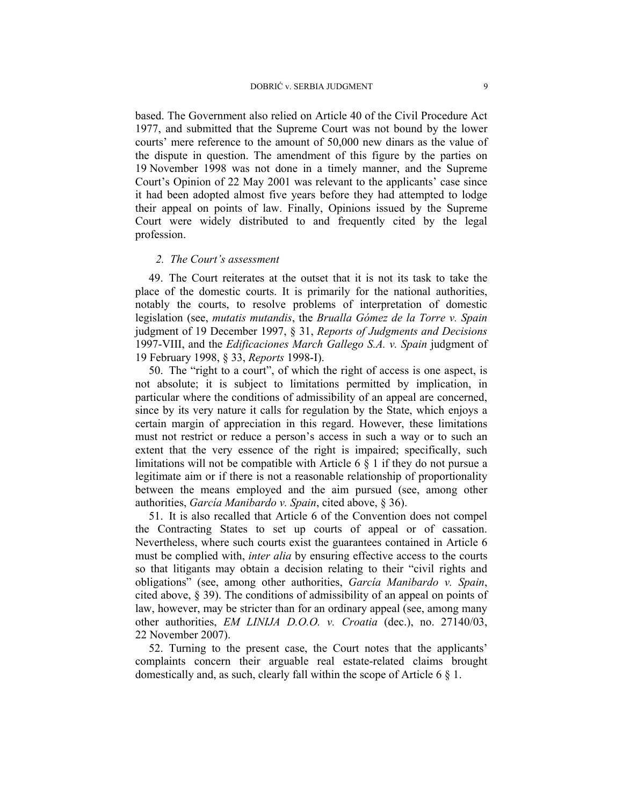based. The Government also relied on Article 40 of the Civil Procedure Act 1977, and submitted that the Supreme Court was not bound by the lower courts' mere reference to the amount of 50,000 new dinars as the value of the dispute in question. The amendment of this figure by the parties on 19 November 1998 was not done in a timely manner, and the Supreme Court's Opinion of 22 May 2001 was relevant to the applicants' case since it had been adopted almost five years before they had attempted to lodge their appeal on points of law. Finally, Opinions issued by the Supreme Court were widely distributed to and frequently cited by the legal profession.

#### *2. The Court's assessment*

49. The Court reiterates at the outset that it is not its task to take the place of the domestic courts. It is primarily for the national authorities, notably the courts, to resolve problems of interpretation of domestic legislation (see, *mutatis mutandis*, the *Brualla Gómez de la Torre v. Spain* judgment of 19 December 1997, § 31, *Reports of Judgments and Decisions* 1997-VIII, and the *Edificaciones March Gallego S.A. v. Spain* judgment of 19 February 1998, § 33, *Reports* 1998-I).

50. The "right to a court", of which the right of access is one aspect, is not absolute; it is subject to limitations permitted by implication, in particular where the conditions of admissibility of an appeal are concerned, since by its very nature it calls for regulation by the State, which enjoys a certain margin of appreciation in this regard. However, these limitations must not restrict or reduce a person's access in such a way or to such an extent that the very essence of the right is impaired; specifically, such limitations will not be compatible with Article 6 § 1 if they do not pursue a legitimate aim or if there is not a reasonable relationship of proportionality between the means employed and the aim pursued (see, among other authorities, *García Manibardo v. Spain*, cited above, § 36).

51. It is also recalled that Article 6 of the Convention does not compel the Contracting States to set up courts of appeal or of cassation. Nevertheless, where such courts exist the guarantees contained in Article 6 must be complied with, *inter alia* by ensuring effective access to the courts so that litigants may obtain a decision relating to their "civil rights and obligations" (see, among other authorities, *García Manibardo v. Spain*, cited above, § 39). The conditions of admissibility of an appeal on points of law, however, may be stricter than for an ordinary appeal (see, among many other authorities, *EM LINIJA D.O.O. v. Croatia* (dec.), no. 27140/03, 22 November 2007).

52. Turning to the present case, the Court notes that the applicants' complaints concern their arguable real estate-related claims brought domestically and, as such, clearly fall within the scope of Article 6 § 1.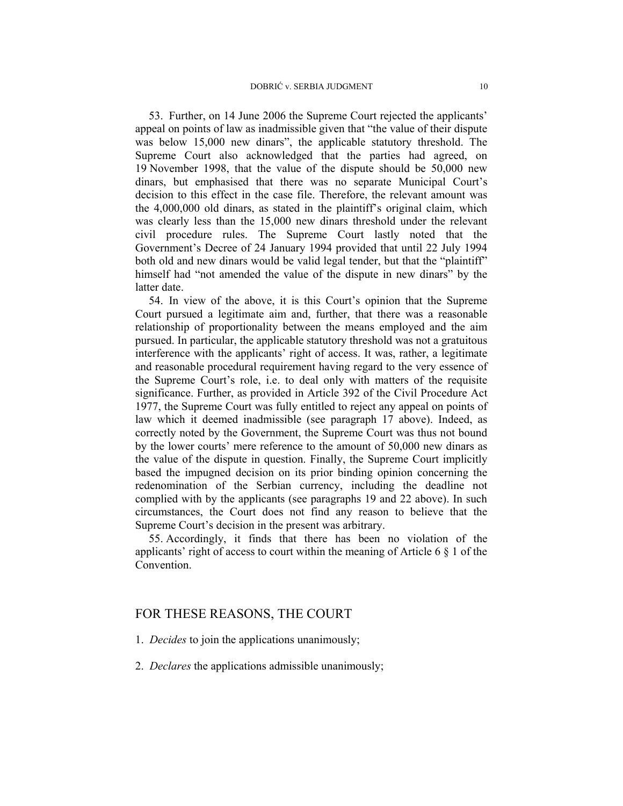53. Further, on 14 June 2006 the Supreme Court rejected the applicants' appeal on points of law as inadmissible given that "the value of their dispute was below 15,000 new dinars", the applicable statutory threshold. The Supreme Court also acknowledged that the parties had agreed, on 19 November 1998, that the value of the dispute should be 50,000 new dinars, but emphasised that there was no separate Municipal Court's decision to this effect in the case file. Therefore, the relevant amount was the 4,000,000 old dinars, as stated in the plaintiff's original claim, which was clearly less than the 15,000 new dinars threshold under the relevant civil procedure rules. The Supreme Court lastly noted that the Government's Decree of 24 January 1994 provided that until 22 July 1994 both old and new dinars would be valid legal tender, but that the "plaintiff" himself had "not amended the value of the dispute in new dinars" by the latter date.

54. In view of the above, it is this Court's opinion that the Supreme Court pursued a legitimate aim and, further, that there was a reasonable relationship of proportionality between the means employed and the aim pursued. In particular, the applicable statutory threshold was not a gratuitous interference with the applicants' right of access. It was, rather, a legitimate and reasonable procedural requirement having regard to the very essence of the Supreme Court's role, i.e. to deal only with matters of the requisite significance. Further, as provided in Article 392 of the Civil Procedure Act 1977, the Supreme Court was fully entitled to reject any appeal on points of law which it deemed inadmissible (see paragraph 17 above). Indeed, as correctly noted by the Government, the Supreme Court was thus not bound by the lower courts' mere reference to the amount of 50,000 new dinars as the value of the dispute in question. Finally, the Supreme Court implicitly based the impugned decision on its prior binding opinion concerning the redenomination of the Serbian currency, including the deadline not complied with by the applicants (see paragraphs 19 and 22 above). In such circumstances, the Court does not find any reason to believe that the Supreme Court's decision in the present was arbitrary.

55. Accordingly, it finds that there has been no violation of the applicants' right of access to court within the meaning of Article 6 § 1 of the Convention.

### FOR THESE REASONS, THE COURT

- 1. *Decides* to join the applications unanimously;
- 2. *Declares* the applications admissible unanimously;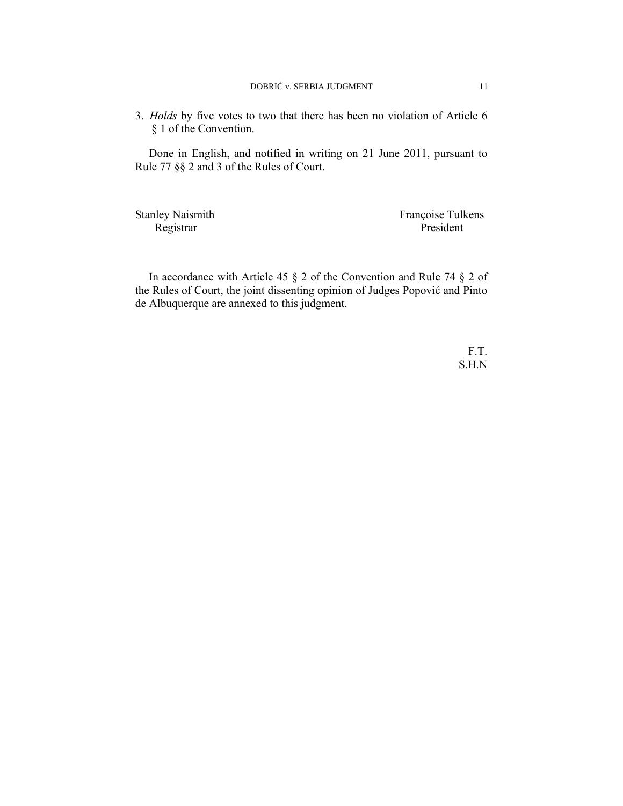3. *Holds* by five votes to two that there has been no violation of Article 6 § 1 of the Convention.

Done in English, and notified in writing on 21 June 2011, pursuant to Rule 77 §§ 2 and 3 of the Rules of Court.

Stanley Naismith Françoise Tulkens Registrar President

In accordance with Article 45 § 2 of the Convention and Rule 74 § 2 of the Rules of Court, the joint dissenting opinion of Judges Popović and Pinto de Albuquerque are annexed to this judgment.

> F.T. S.H.N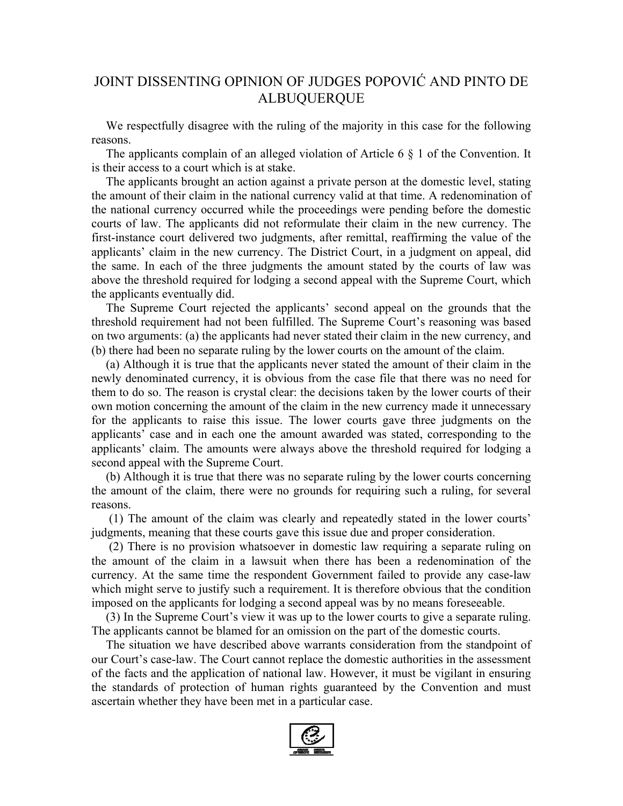# JOINT DISSENTING OPINION OF JUDGES POPOVIĆ AND PINTO DE ALBUQUERQUE

We respectfully disagree with the ruling of the majority in this case for the following reasons.

The applicants complain of an alleged violation of Article 6 § 1 of the Convention. It is their access to a court which is at stake.

The applicants brought an action against a private person at the domestic level, stating the amount of their claim in the national currency valid at that time. A redenomination of the national currency occurred while the proceedings were pending before the domestic courts of law. The applicants did not reformulate their claim in the new currency. The first-instance court delivered two judgments, after remittal, reaffirming the value of the applicants' claim in the new currency. The District Court, in a judgment on appeal, did the same. In each of the three judgments the amount stated by the courts of law was above the threshold required for lodging a second appeal with the Supreme Court, which the applicants eventually did.

The Supreme Court rejected the applicants' second appeal on the grounds that the threshold requirement had not been fulfilled. The Supreme Court's reasoning was based on two arguments: (a) the applicants had never stated their claim in the new currency, and (b) there had been no separate ruling by the lower courts on the amount of the claim.

(a) Although it is true that the applicants never stated the amount of their claim in the newly denominated currency, it is obvious from the case file that there was no need for them to do so. The reason is crystal clear: the decisions taken by the lower courts of their own motion concerning the amount of the claim in the new currency made it unnecessary for the applicants to raise this issue. The lower courts gave three judgments on the applicants' case and in each one the amount awarded was stated, corresponding to the applicants' claim. The amounts were always above the threshold required for lodging a second appeal with the Supreme Court.

(b) Although it is true that there was no separate ruling by the lower courts concerning the amount of the claim, there were no grounds for requiring such a ruling, for several reasons.

 (1) The amount of the claim was clearly and repeatedly stated in the lower courts' judgments, meaning that these courts gave this issue due and proper consideration.

 (2) There is no provision whatsoever in domestic law requiring a separate ruling on the amount of the claim in a lawsuit when there has been a redenomination of the currency. At the same time the respondent Government failed to provide any case-law which might serve to justify such a requirement. It is therefore obvious that the condition imposed on the applicants for lodging a second appeal was by no means foreseeable.

(3) In the Supreme Court's view it was up to the lower courts to give a separate ruling. The applicants cannot be blamed for an omission on the part of the domestic courts.

The situation we have described above warrants consideration from the standpoint of our Court's case-law. The Court cannot replace the domestic authorities in the assessment of the facts and the application of national law. However, it must be vigilant in ensuring the standards of protection of human rights guaranteed by the Convention and must ascertain whether they have been met in a particular case.